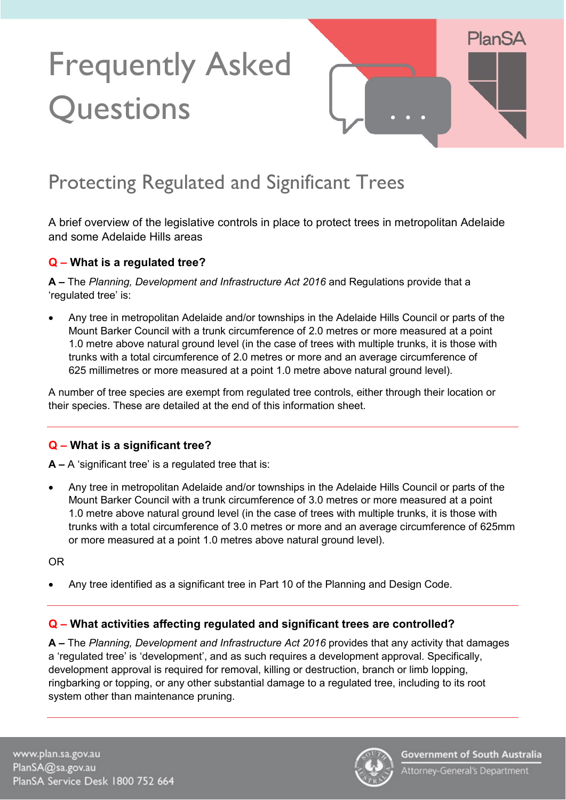# Frequently Asked **Questions**



# Protecting Regulated and Significant Trees

A brief overview of the legislative controls in place to protect trees in metropolitan Adelaide and some Adelaide Hills areas

# **Q – What is a regulated tree?**

**A –** The *Planning, Development and Infrastructure Act 2016* and Regulations provide that a 'regulated tree' is:

• Any tree in metropolitan Adelaide and/or townships in the Adelaide Hills Council or parts of the Mount Barker Council with a trunk circumference of 2.0 metres or more measured at a point 1.0 metre above natural ground level (in the case of trees with multiple trunks, it is those with trunks with a total circumference of 2.0 metres or more and an average circumference of 625 millimetres or more measured at a point 1.0 metre above natural ground level).

A number of tree species are exempt from regulated tree controls, either through their location or their species. These are detailed at the end of this information sheet.

# **Q – What is a significant tree?**

**A –** A 'significant tree' is a regulated tree that is:

• Any tree in metropolitan Adelaide and/or townships in the Adelaide Hills Council or parts of the Mount Barker Council with a trunk circumference of 3.0 metres or more measured at a point 1.0 metre above natural ground level (in the case of trees with multiple trunks, it is those with trunks with a total circumference of 3.0 metres or more and an average circumference of 625mm or more measured at a point 1.0 metres above natural ground level).

OR

• Any tree identified as a significant tree in Part 10 of the Planning and Design Code.

# **Q – What activities affecting regulated and significant trees are controlled?**

**A –** The *Planning, Development and Infrastructure Act 2016* provides that any activity that damages a 'regulated tree' is 'development', and as such requires a development approval. Specifically, development approval is required for removal, killing or destruction, branch or limb lopping, ringbarking or topping, or any other substantial damage to a regulated tree, including to its root system other than maintenance pruning.

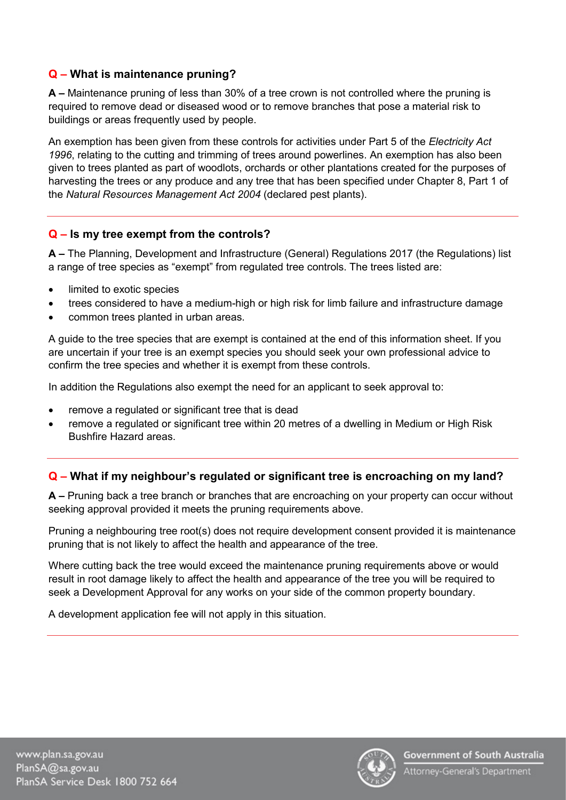#### **Q – What is maintenance pruning?**

**A –** Maintenance pruning of less than 30% of a tree crown is not controlled where the pruning is required to remove dead or diseased wood or to remove branches that pose a material risk to buildings or areas frequently used by people.

An exemption has been given from these controls for activities under Part 5 of the *Electricity Act 1996*, relating to the cutting and trimming of trees around powerlines. An exemption has also been given to trees planted as part of woodlots, orchards or other plantations created for the purposes of harvesting the trees or any produce and any tree that has been specified under Chapter 8, Part 1 of the *Natural Resources Management Act 2004* (declared pest plants).

# **Q – Is my tree exempt from the controls?**

**A –** The Planning, Development and Infrastructure (General) Regulations 2017 (the Regulations) list a range of tree species as "exempt" from regulated tree controls. The trees listed are:

- limited to exotic species
- trees considered to have a medium-high or high risk for limb failure and infrastructure damage
- common trees planted in urban areas.

A guide to the tree species that are exempt is contained at the end of this information sheet. If you are uncertain if your tree is an exempt species you should seek your own professional advice to confirm the tree species and whether it is exempt from these controls.

In addition the Regulations also exempt the need for an applicant to seek approval to:

- remove a regulated or significant tree that is dead
- remove a regulated or significant tree within 20 metres of a dwelling in Medium or High Risk Bushfire Hazard areas.

# **Q – What if my neighbour's regulated or significant tree is encroaching on my land?**

**A –** Pruning back a tree branch or branches that are encroaching on your property can occur without seeking approval provided it meets the pruning requirements above.

Pruning a neighbouring tree root(s) does not require development consent provided it is maintenance pruning that is not likely to affect the health and appearance of the tree.

Where cutting back the tree would exceed the maintenance pruning requirements above or would result in root damage likely to affect the health and appearance of the tree you will be required to seek a Development Approval for any works on your side of the common property boundary.

A development application fee will not apply in this situation.



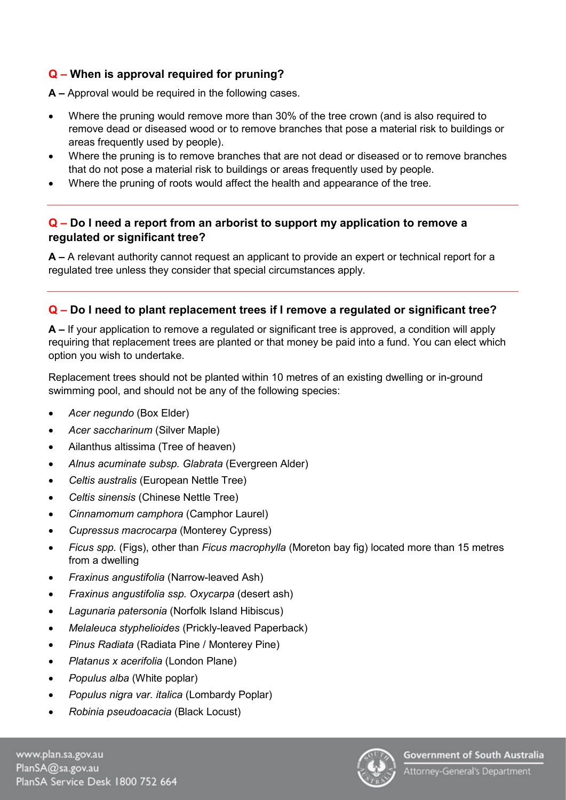# **Q – When is approval required for pruning?**

**A –** Approval would be required in the following cases.

- Where the pruning would remove more than 30% of the tree crown (and is also required to remove dead or diseased wood or to remove branches that pose a material risk to buildings or areas frequently used by people).
- Where the pruning is to remove branches that are not dead or diseased or to remove branches that do not pose a material risk to buildings or areas frequently used by people.
- Where the pruning of roots would affect the health and appearance of the tree.

#### **Q – Do I need a report from an arborist to support my application to remove a regulated or significant tree?**

**A –** A relevant authority cannot request an applicant to provide an expert or technical report for a regulated tree unless they consider that special circumstances apply.

#### **Q – Do I need to plant replacement trees if I remove a regulated or significant tree?**

**A –** If your application to remove a regulated or significant tree is approved, a condition will apply requiring that replacement trees are planted or that money be paid into a fund. You can elect which option you wish to undertake.

Replacement trees should not be planted within 10 metres of an existing dwelling or in-ground swimming pool, and should not be any of the following species:

- *Acer negundo* (Box Elder)
- *Acer saccharinum* (Silver Maple)
- Ailanthus altissima (Tree of heaven)
- *Alnus acuminate subsp. Glabrata* (Evergreen Alder)
- *Celtis australis* (European Nettle Tree)
- *Celtis sinensis* (Chinese Nettle Tree)
- *Cinnamomum camphora* (Camphor Laurel)
- *Cupressus macrocarpa* (Monterey Cypress)
- *Ficus spp.* (Figs), other than *Ficus macrophylla* (Moreton bay fig) located more than 15 metres from a dwelling
- *Fraxinus angustifolia* (Narrow-leaved Ash)
- *Fraxinus angustifolia ssp. Oxycarpa* (desert ash)
- *Lagunaria patersonia* (Norfolk Island Hibiscus)
- *Melaleuca styphelioides* (Prickly-leaved Paperback)
- *Pinus Radiata* (Radiata Pine / Monterey Pine)
- *Platanus x acerifolia* (London Plane)
- *Populus alba* (White poplar)
- *Populus nigra var. italica* (Lombardy Poplar)
- *Robinia pseudoacacia* (Black Locust)

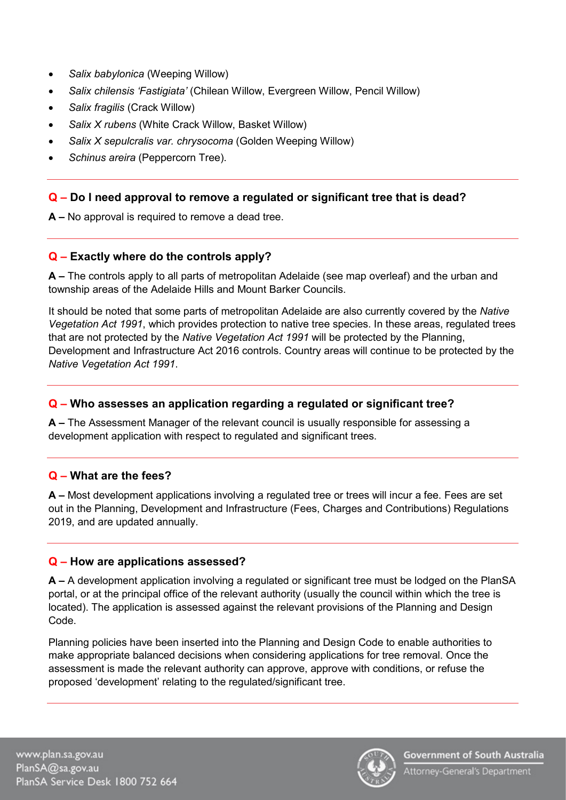- *Salix babylonica* (Weeping Willow)
- *Salix chilensis 'Fastigiata'* (Chilean Willow, Evergreen Willow, Pencil Willow)
- *Salix fragilis* (Crack Willow)
- *Salix X rubens* (White Crack Willow, Basket Willow)
- *Salix X sepulcralis var. chrysocoma* (Golden Weeping Willow)
- *Schinus areira* (Peppercorn Tree).

#### **Q – Do I need approval to remove a regulated or significant tree that is dead?**

**A –** No approval is required to remove a dead tree.

#### **Q – Exactly where do the controls apply?**

**A –** The controls apply to all parts of metropolitan Adelaide (see map overleaf) and the urban and township areas of the Adelaide Hills and Mount Barker Councils.

It should be noted that some parts of metropolitan Adelaide are also currently covered by the *Native Vegetation Act 1991*, which provides protection to native tree species. In these areas, regulated trees that are not protected by the *Native Vegetation Act 1991* will be protected by the Planning, Development and Infrastructure Act 2016 controls. Country areas will continue to be protected by the *Native Vegetation Act 1991*.

#### **Q – Who assesses an application regarding a regulated or significant tree?**

**A –** The Assessment Manager of the relevant council is usually responsible for assessing a development application with respect to regulated and significant trees.

#### **Q – What are the fees?**

**A –** Most development applications involving a regulated tree or trees will incur a fee. Fees are set out in the Planning, Development and Infrastructure (Fees, Charges and Contributions) Regulations 2019, and are updated annually.

#### **Q – How are applications assessed?**

**A –** A development application involving a regulated or significant tree must be lodged on the PlanSA portal, or at the principal office of the relevant authority (usually the council within which the tree is located). The application is assessed against the relevant provisions of the Planning and Design Code.

Planning policies have been inserted into the Planning and Design Code to enable authorities to make appropriate balanced decisions when considering applications for tree removal. Once the assessment is made the relevant authority can approve, approve with conditions, or refuse the proposed 'development' relating to the regulated/significant tree.

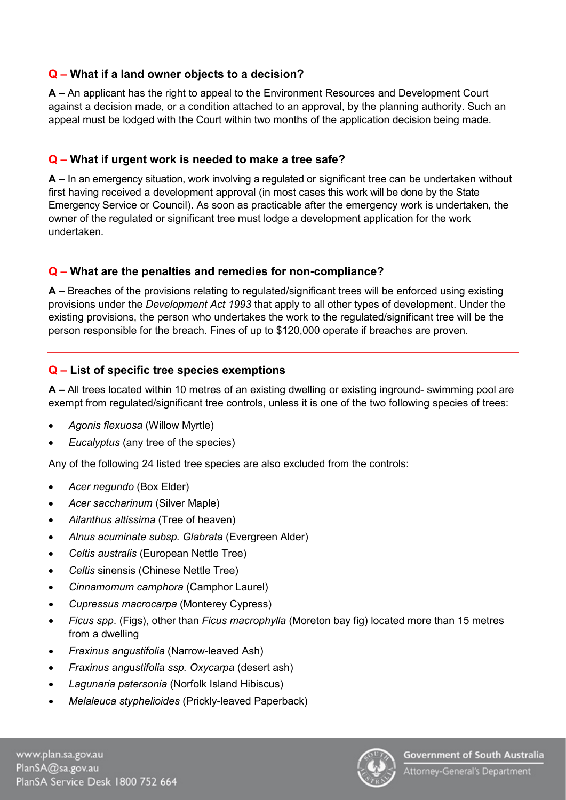# **Q – What if a land owner objects to a decision?**

**A –** An applicant has the right to appeal to the Environment Resources and Development Court against a decision made, or a condition attached to an approval, by the planning authority. Such an appeal must be lodged with the Court within two months of the application decision being made.

#### **Q – What if urgent work is needed to make a tree safe?**

**A –** In an emergency situation, work involving a regulated or significant tree can be undertaken without first having received a development approval (in most cases this work will be done by the State Emergency Service or Council). As soon as practicable after the emergency work is undertaken, the owner of the regulated or significant tree must lodge a development application for the work undertaken.

# **Q – What are the penalties and remedies for non-compliance?**

**A –** Breaches of the provisions relating to regulated/significant trees will be enforced using existing provisions under the *Development Act 1993* that apply to all other types of development. Under the existing provisions, the person who undertakes the work to the regulated/significant tree will be the person responsible for the breach. Fines of up to \$120,000 operate if breaches are proven.

# **Q – List of specific tree species exemptions**

**A –** All trees located within 10 metres of an existing dwelling or existing inground- swimming pool are exempt from regulated/significant tree controls, unless it is one of the two following species of trees:

- *Agonis flexuosa* (Willow Myrtle)
- *Eucalyptus* (any tree of the species)

Any of the following 24 listed tree species are also excluded from the controls:

- *Acer negundo* (Box Elder)
- *Acer saccharinum* (Silver Maple)
- *Ailanthus altissima* (Tree of heaven)
- *Alnus acuminate subsp. Glabrata* (Evergreen Alder)
- *Celtis australis* (European Nettle Tree)
- *Celtis* sinensis (Chinese Nettle Tree)
- *Cinnamomum camphora* (Camphor Laurel)
- *Cupressus macrocarpa* (Monterey Cypress)
- *Ficus spp*. (Figs), other than *Ficus macrophylla* (Moreton bay fig) located more than 15 metres from a dwelling
- *Fraxinus angustifolia* (Narrow-leaved Ash)
- *Fraxinus ang*u*stifolia ssp. Oxycarpa* (desert ash)
- *Lagunaria patersonia* (Norfolk Island Hibiscus)
- *Melaleuca styphelioides* (Prickly-leaved Paperback)

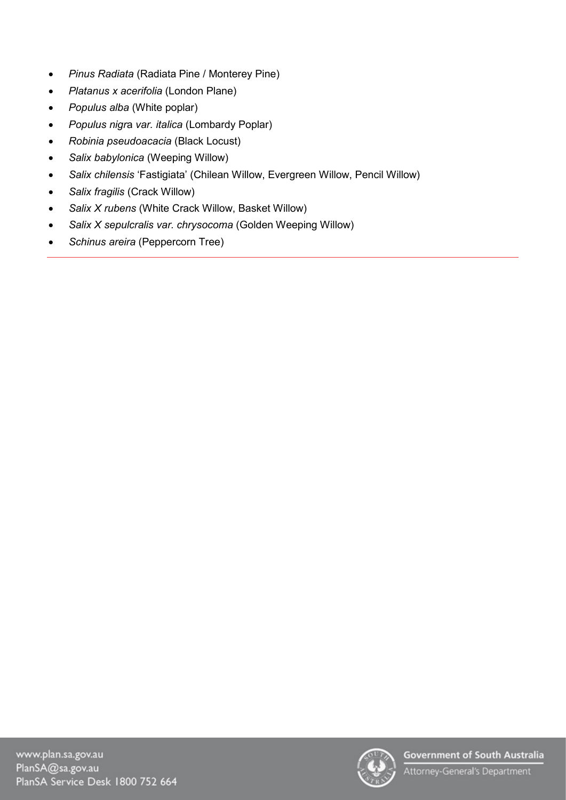- *Pinus Radiata* (Radiata Pine / Monterey Pine)
- *Platanus x acerifolia* (London Plane)
- *Populus alba* (White poplar)
- *Populus nigr*a *var. italica* (Lombardy Poplar)
- *Robinia pseudoacacia* (Black Locust)
- *Salix babylonica* (Weeping Willow)
- *Salix chilensis* 'Fastigiata' (Chilean Willow, Evergreen Willow, Pencil Willow)
- *Salix fragilis* (Crack Willow)
- *Salix X rubens* (White Crack Willow, Basket Willow)
- *Salix X sepulcralis var. chrysocoma* (Golden Weeping Willow)
- *Schinus areira* (Peppercorn Tree)